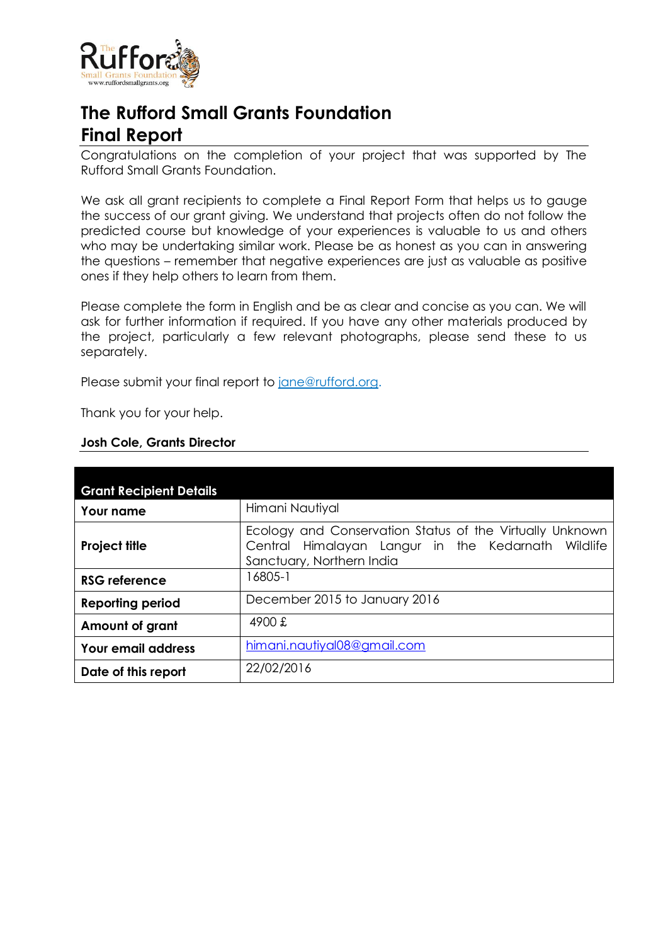

# **The Rufford Small Grants Foundation Final Report**

Congratulations on the completion of your project that was supported by The Rufford Small Grants Foundation.

We ask all grant recipients to complete a Final Report Form that helps us to gauge the success of our grant giving. We understand that projects often do not follow the predicted course but knowledge of your experiences is valuable to us and others who may be undertaking similar work. Please be as honest as you can in answering the questions – remember that negative experiences are just as valuable as positive ones if they help others to learn from them.

Please complete the form in English and be as clear and concise as you can. We will ask for further information if required. If you have any other materials produced by the project, particularly a few relevant photographs, please send these to us separately.

Please submit your final report to [jane@rufford.org.](mailto:jane@rufford.org)

Thank you for your help.

| <b>Grant Recipient Details</b> |                                                                                                                                             |  |  |  |  |
|--------------------------------|---------------------------------------------------------------------------------------------------------------------------------------------|--|--|--|--|
| <b>Your name</b>               | Himani Nautiyal                                                                                                                             |  |  |  |  |
| <b>Project title</b>           | Ecology and Conservation Status of the Virtually Unknown<br>Central Himalayan Langur in the Kedarnath Wildlife<br>Sanctuary, Northern India |  |  |  |  |
| <b>RSG reference</b>           | 16805-1                                                                                                                                     |  |  |  |  |
| <b>Reporting period</b>        | December 2015 to January 2016                                                                                                               |  |  |  |  |
| <b>Amount of grant</b>         | 4900 £                                                                                                                                      |  |  |  |  |
| <b>Your email address</b>      | himani.nautiyal08@gmail.com                                                                                                                 |  |  |  |  |
| Date of this report            | 22/02/2016                                                                                                                                  |  |  |  |  |

# **Josh Cole, Grants Director**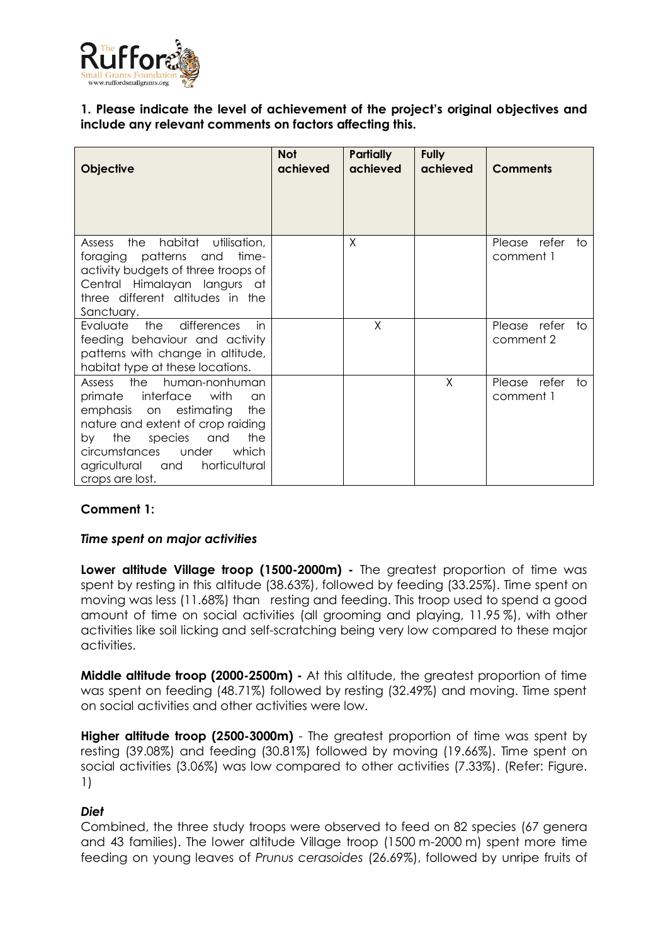

# **1. Please indicate the level of achievement of the project's original objectives and include any relevant comments on factors affecting this.**

| <b>Objective</b>                                                                                                                                                                                                                                                                        | <b>Not</b><br>achieved | <b>Partially</b><br>achieved | <b>Fully</b><br>achieved | <b>Comments</b>                 |
|-----------------------------------------------------------------------------------------------------------------------------------------------------------------------------------------------------------------------------------------------------------------------------------------|------------------------|------------------------------|--------------------------|---------------------------------|
| the<br>habitat utilisation,<br>Assess<br>foraging patterns and<br>time-<br>activity budgets of three troops of<br>Central Himalayan langurs at<br>three different altitudes in the<br>Sanctuary.                                                                                        |                        | X                            |                          | Please refer<br>to<br>comment 1 |
| the<br>differences<br>Evaluate<br>in<br>feeding behaviour and activity<br>patterns with change in altitude,<br>habitat type at these locations.                                                                                                                                         |                        | X                            |                          | Please refer<br>to<br>comment 2 |
| the<br>human-nonhuman<br><b>Assess</b><br>primate interface<br>with<br>an<br>emphasis on estimating<br>the<br>nature and extent of crop raiding<br>the<br>species<br>the<br>by<br>and<br>under<br><i>circumstances</i><br>which<br>horticultural<br>agricultural and<br>crops are lost. |                        |                              | X                        | Please refer<br>to<br>comment 1 |

# **Comment 1:**

#### *Time spent on major activities*

**Lower altitude Village troop (1500-2000m) -** The greatest proportion of time was spent by resting in this altitude (38.63%), followed by feeding (33.25%). Time spent on moving was less (11.68%) than resting and feeding. This troop used to spend a good amount of time on social activities (all grooming and playing, 11.95 %), with other activities like soil licking and self-scratching being very low compared to these major activities.

**Middle altitude troop (2000-2500m) -** At this altitude, the greatest proportion of time was spent on feeding (48.71%) followed by resting (32.49%) and moving. Time spent on social activities and other activities were low.

**Higher altitude troop (2500-3000m)** - The greatest proportion of time was spent by resting (39.08%) and feeding (30.81%) followed by moving (19.66%). Time spent on social activities (3.06%) was low compared to other activities (7.33%). (Refer: Figure. 1)

#### *Diet*

Combined, the three study troops were observed to feed on 82 species (67 genera and 43 families). The lower altitude Village troop (1500 m-2000 m) spent more time feeding on young leaves of *Prunus cerasoides* (26.69%), followed by unripe fruits of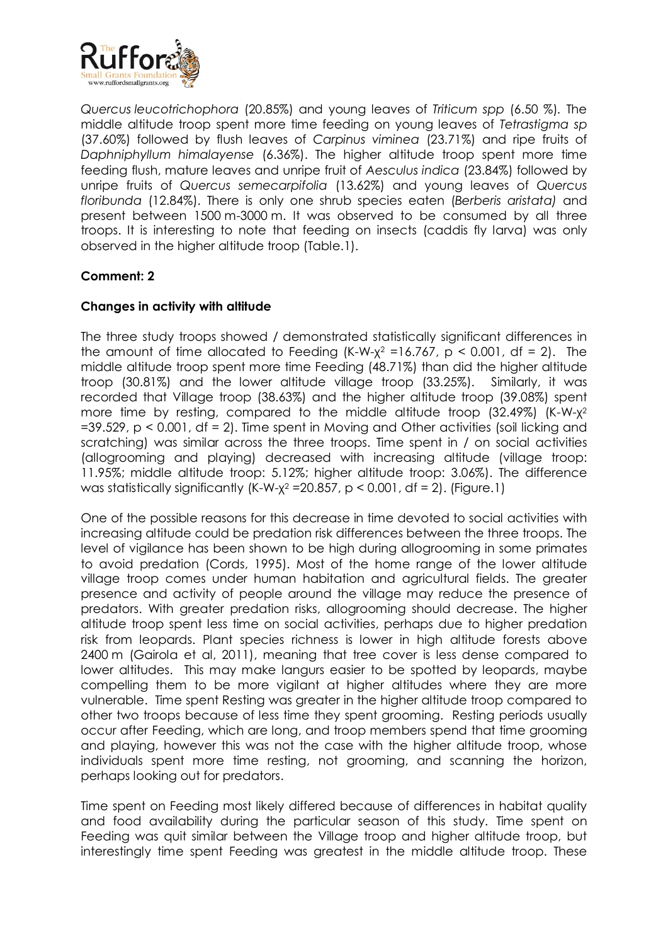

*Quercus leucotrichophora* (20.85%) and young leaves of *Triticum spp* (6.50 %)*.* The middle altitude troop spent more time feeding on young leaves of *Tetrastigma sp* (37.60%) followed by flush leaves of *Carpinus viminea* (23.71%) and ripe fruits of *Daphniphyllum himalayense* (6.36%). The higher altitude troop spent more time feeding flush, mature leaves and unripe fruit of *Aesculus indica* (23.84%) followed by unripe fruits of *Quercus semecarpifolia* (13.62%) and young leaves of *Quercus floribunda* (12.84%). There is only one shrub species eaten (*Berberis aristata)* and present between 1500 m-3000 m. It was observed to be consumed by all three troops. It is interesting to note that feeding on insects (caddis fly larva) was only observed in the higher altitude troop (Table.1).

# **Comment: 2**

# **Changes in activity with altitude**

The three study troops showed / demonstrated statistically significant differences in the amount of time allocated to Feeding (K-W- $\chi^2$  =16.767, p < 0.001, df = 2). The middle altitude troop spent more time Feeding (48.71%) than did the higher altitude troop (30.81%) and the lower altitude village troop (33.25%). Similarly, it was recorded that Village troop (38.63%) and the higher altitude troop (39.08%) spent more time by resting, compared to the middle altitude troop (32.49%) (K-W-χ<sup>2</sup>  $=$  39.529, p < 0.001, df = 2). Time spent in Moving and Other activities (soil licking and scratching) was similar across the three troops. Time spent in / on social activities (allogrooming and playing) decreased with increasing altitude (village troop: 11.95%; middle altitude troop: 5.12%; higher altitude troop: 3.06%). The difference was statistically significantly (K-W- $\chi^2$  =20.857, p < 0.001, df = 2). (Figure.1)

One of the possible reasons for this decrease in time devoted to social activities with increasing altitude could be predation risk differences between the three troops. The level of vigilance has been shown to be high during allogrooming in some primates to avoid predation (Cords, 1995). Most of the home range of the lower altitude village troop comes under human habitation and agricultural fields. The greater presence and activity of people around the village may reduce the presence of predators. With greater predation risks, allogrooming should decrease. The higher altitude troop spent less time on social activities, perhaps due to higher predation risk from leopards. Plant species richness is lower in high altitude forests above 2400 m (Gairola et al, 2011), meaning that tree cover is less dense compared to lower altitudes. This may make langurs easier to be spotted by leopards, maybe compelling them to be more vigilant at higher altitudes where they are more vulnerable. Time spent Resting was greater in the higher altitude troop compared to other two troops because of less time they spent grooming. Resting periods usually occur after Feeding, which are long, and troop members spend that time grooming and playing, however this was not the case with the higher altitude troop, whose individuals spent more time resting, not grooming, and scanning the horizon, perhaps looking out for predators.

Time spent on Feeding most likely differed because of differences in habitat quality and food availability during the particular season of this study. Time spent on Feeding was quit similar between the Village troop and higher altitude troop, but interestingly time spent Feeding was greatest in the middle altitude troop. These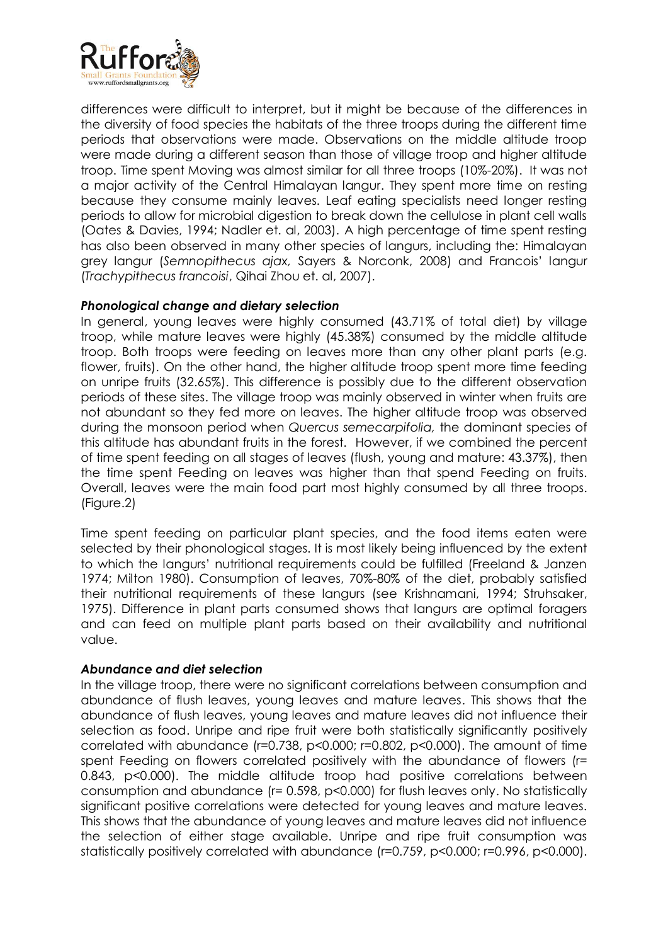

differences were difficult to interpret, but it might be because of the differences in the diversity of food species the habitats of the three troops during the different time periods that observations were made. Observations on the middle altitude troop were made during a different season than those of village troop and higher altitude troop. Time spent Moving was almost similar for all three troops (10%-20%). It was not a major activity of the Central Himalayan langur. They spent more time on resting because they consume mainly leaves. Leaf eating specialists need longer resting periods to allow for microbial digestion to break down the cellulose in plant cell walls (Oates & Davies, 1994; Nadler et. al, 2003). A high percentage of time spent resting has also been observed in many other species of langurs, including the: Himalayan grey langur (*Semnopithecus ajax,* Sayers & Norconk, 2008) and Francois' langur (*Trachypithecus francoisi*, Qihai Zhou et. al, 2007).

## *Phonological change and dietary selection*

In general, young leaves were highly consumed (43.71% of total diet) by village troop, while mature leaves were highly (45.38%) consumed by the middle altitude troop. Both troops were feeding on leaves more than any other plant parts (e.g. flower, fruits). On the other hand, the higher altitude troop spent more time feeding on unripe fruits (32.65%). This difference is possibly due to the different observation periods of these sites. The village troop was mainly observed in winter when fruits are not abundant so they fed more on leaves. The higher altitude troop was observed during the monsoon period when *Quercus semecarpifolia,* the dominant species of this altitude has abundant fruits in the forest. However, if we combined the percent of time spent feeding on all stages of leaves (flush, young and mature: 43.37%), then the time spent Feeding on leaves was higher than that spend Feeding on fruits. Overall, leaves were the main food part most highly consumed by all three troops. (Figure.2)

Time spent feeding on particular plant species, and the food items eaten were selected by their phonological stages. It is most likely being influenced by the extent to which the langurs' nutritional requirements could be fulfilled (Freeland & Janzen 1974; Milton 1980). Consumption of leaves, 70%-80% of the diet, probably satisfied their nutritional requirements of these langurs (see Krishnamani, 1994; Struhsaker, 1975). Difference in plant parts consumed shows that langurs are optimal foragers and can feed on multiple plant parts based on their availability and nutritional value.

#### *Abundance and diet selection*

In the village troop, there were no significant correlations between consumption and abundance of flush leaves, young leaves and mature leaves. This shows that the abundance of flush leaves, young leaves and mature leaves did not influence their selection as food. Unripe and ripe fruit were both statistically significantly positively correlated with abundance (r=0.738, p<0.000; r=0.802, p<0.000). The amount of time spent Feeding on flowers correlated positively with the abundance of flowers (r= 0.843, p<0.000). The middle altitude troop had positive correlations between consumption and abundance (r= 0.598, p<0.000) for flush leaves only. No statistically significant positive correlations were detected for young leaves and mature leaves. This shows that the abundance of young leaves and mature leaves did not influence the selection of either stage available. Unripe and ripe fruit consumption was statistically positively correlated with abundance (r=0.759, p<0.000; r=0.996, p<0.000).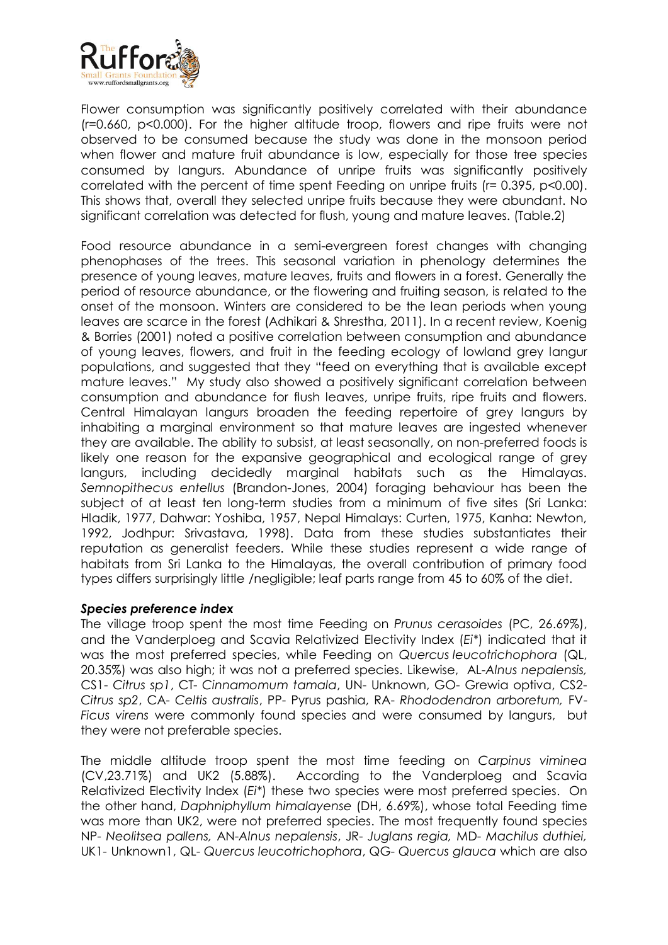

Flower consumption was significantly positively correlated with their abundance (r=0.660, p<0.000). For the higher altitude troop, flowers and ripe fruits were not observed to be consumed because the study was done in the monsoon period when flower and mature fruit abundance is low, especially for those tree species consumed by langurs. Abundance of unripe fruits was significantly positively correlated with the percent of time spent Feeding on unripe fruits (r= 0.395, p<0.00). This shows that, overall they selected unripe fruits because they were abundant. No significant correlation was detected for flush, young and mature leaves. (Table.2)

Food resource abundance in a semi-evergreen forest changes with changing phenophases of the trees. This seasonal variation in phenology determines the presence of young leaves, mature leaves, fruits and flowers in a forest. Generally the period of resource abundance, or the flowering and fruiting season, is related to the onset of the monsoon. Winters are considered to be the lean periods when young leaves are scarce in the forest (Adhikari & Shrestha, 2011). In a recent review, Koenig & Borries (2001) noted a positive correlation between consumption and abundance of young leaves, flowers, and fruit in the feeding ecology of lowland grey langur populations, and suggested that they "feed on everything that is available except mature leaves." My study also showed a positively significant correlation between consumption and abundance for flush leaves, unripe fruits, ripe fruits and flowers. Central Himalayan langurs broaden the feeding repertoire of grey langurs by inhabiting a marginal environment so that mature leaves are ingested whenever they are available. The ability to subsist, at least seasonally, on non-preferred foods is likely one reason for the expansive geographical and ecological range of grey langurs, including decidedly marginal habitats such as the Himalayas. *Semnopithecus entellus* (Brandon-Jones, 2004) foraging behaviour has been the subject of at least ten long-term studies from a minimum of five sites (Sri Lanka: Hladik, 1977, Dahwar: Yoshiba, 1957, Nepal Himalays: Curten, 1975, Kanha: Newton, 1992, Jodhpur: Srivastava, 1998). Data from these studies substantiates their reputation as generalist feeders. While these studies represent a wide range of habitats from Sri Lanka to the Himalayas, the overall contribution of primary food types differs surprisingly little /negligible; leaf parts range from 45 to 60% of the diet.

#### *Species preference index*

The village troop spent the most time Feeding on *Prunus cerasoides* (PC, 26.69%), and the Vanderploeg and Scavia Relativized Electivity Index (*Ei\**) indicated that it was the most preferred species, while Feeding on *Quercus leucotrichophora* (QL, 20.35%) was also high; it was not a preferred species. Likewise, AL-*Alnus nepalensis,* CS1- *Citrus sp1*, CT- *Cinnamomum tamala*, UN- Unknown, GO- Grewia optiva, CS2- *Citrus sp2*, CA- *Celtis australis*, PP- Pyrus pashia, RA- *Rhododendron arboretum,* FV-*Ficus virens* were commonly found species and were consumed by langurs, but they were not preferable species.

The middle altitude troop spent the most time feeding on *Carpinus viminea* (CV,23.71%) and UK2 (5.88%). According to the Vanderploeg and Scavia Relativized Electivity Index (*Ei\**) these two species were most preferred species. On the other hand, *Daphniphyllum himalayense* (DH, 6.69%), whose total Feeding time was more than UK2, were not preferred species. The most frequently found species NP- *Neolitsea pallens,* AN-*Alnus nepalensis*, JR- *Juglans regia,* MD- *Machilus duthiei,*  UK1- Unknown1, QL- *Quercus leucotrichophora*, QG- *Quercus glauca* which are also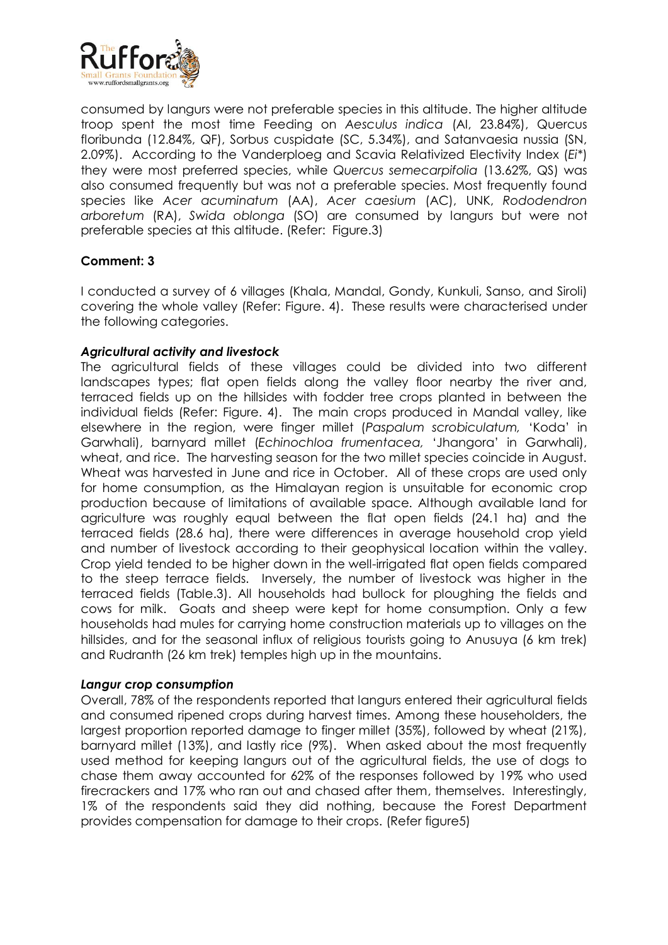

consumed by langurs were not preferable species in this altitude. The higher altitude troop spent the most time Feeding on *Aesculus indica* (AI, 23.84%), Quercus floribunda (12.84%, QF), Sorbus cuspidate (SC, 5.34%), and Satanvaesia nussia (SN, 2.09%). According to the Vanderploeg and Scavia Relativized Electivity Index (*Ei\**) they were most preferred species, while *Quercus semecarpifolia* (13.62%, QS) was also consumed frequently but was not a preferable species. Most frequently found species like *Acer acuminatum* (AA), *Acer caesium* (AC), UNK, *Rododendron arboretum* (RA), *Swida oblonga* (SO) are consumed by langurs but were not preferable species at this altitude. (Refer: Figure.3)

## **Comment: 3**

I conducted a survey of 6 villages (Khala, Mandal, Gondy, Kunkuli, Sanso, and Siroli) covering the whole valley (Refer: Figure. 4). These results were characterised under the following categories.

## *Agricultural activity and livestock*

The agricultural fields of these villages could be divided into two different landscapes types; flat open fields along the valley floor nearby the river and, terraced fields up on the hillsides with fodder tree crops planted in between the individual fields (Refer: Figure. 4). The main crops produced in Mandal valley, like elsewhere in the region, were finger millet (*Paspalum scrobiculatum,* 'Koda' in Garwhali), barnyard millet (*Echinochloa frumentacea,* 'Jhangora' in Garwhali), wheat, and rice. The harvesting season for the two millet species coincide in August. Wheat was harvested in June and rice in October. All of these crops are used only for home consumption, as the Himalayan region is unsuitable for economic crop production because of limitations of available space. Although available land for agriculture was roughly equal between the flat open fields (24.1 ha) and the terraced fields (28.6 ha), there were differences in average household crop yield and number of livestock according to their geophysical location within the valley. Crop yield tended to be higher down in the well-irrigated flat open fields compared to the steep terrace fields. Inversely, the number of livestock was higher in the terraced fields (Table.3). All households had bullock for ploughing the fields and cows for milk. Goats and sheep were kept for home consumption. Only a few households had mules for carrying home construction materials up to villages on the hillsides, and for the seasonal influx of religious tourists going to Anusuya (6 km trek) and Rudranth (26 km trek) temples high up in the mountains.

#### *Langur crop consumption*

Overall, 78% of the respondents reported that langurs entered their agricultural fields and consumed ripened crops during harvest times. Among these householders, the largest proportion reported damage to finger millet (35%), followed by wheat (21%), barnyard millet (13%), and lastly rice (9%). When asked about the most frequently used method for keeping langurs out of the agricultural fields, the use of dogs to chase them away accounted for 62% of the responses followed by 19% who used firecrackers and 17% who ran out and chased after them, themselves. Interestingly, 1% of the respondents said they did nothing, because the Forest Department provides compensation for damage to their crops. (Refer figure5)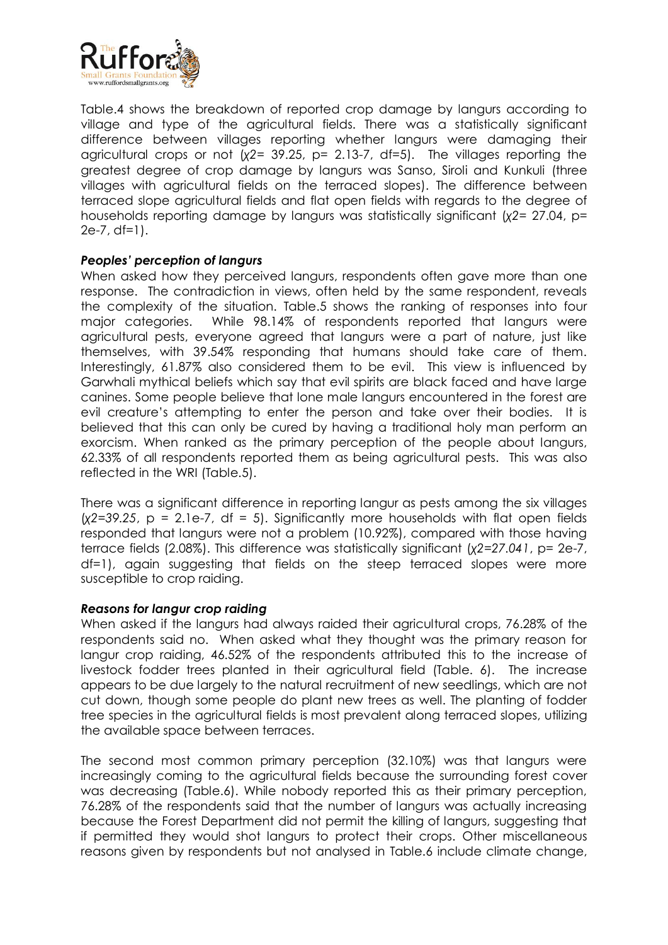

Table.4 shows the breakdown of reported crop damage by langurs according to village and type of the agricultural fields. There was a statistically significant difference between villages reporting whether langurs were damaging their agricultural crops or not (*χ2=* 39.25, p= 2.13-7, df=5). The villages reporting the greatest degree of crop damage by langurs was Sanso, Siroli and Kunkuli (three villages with agricultural fields on the terraced slopes). The difference between terraced slope agricultural fields and flat open fields with regards to the degree of households reporting damage by langurs was statistically significant (*χ2=* 27.04, p= 2e-7, df=1).

## *Peoples' perception of langurs*

When asked how they perceived langurs, respondents often gave more than one response. The contradiction in views, often held by the same respondent, reveals the complexity of the situation. Table.5 shows the ranking of responses into four major categories. While 98.14% of respondents reported that langurs were agricultural pests, everyone agreed that langurs were a part of nature, just like themselves, with 39.54% responding that humans should take care of them. Interestingly, 61.87% also considered them to be evil. This view is influenced by Garwhali mythical beliefs which say that evil spirits are black faced and have large canines. Some people believe that lone male langurs encountered in the forest are evil creature's attempting to enter the person and take over their bodies. It is believed that this can only be cured by having a traditional holy man perform an exorcism. When ranked as the primary perception of the people about langurs, 62.33% of all respondents reported them as being agricultural pests. This was also reflected in the WRI (Table.5).

There was a significant difference in reporting langur as pests among the six villages (*χ2=39.25*, p = 2.1e-7, df = 5). Significantly more households with flat open fields responded that langurs were not a problem (10.92%), compared with those having terrace fields (2.08%). This difference was statistically significant (*χ2=27.041*, p= 2e-7, df=1), again suggesting that fields on the steep terraced slopes were more susceptible to crop raiding.

#### *Reasons for langur crop raiding*

When asked if the langurs had always raided their agricultural crops, 76.28% of the respondents said no. When asked what they thought was the primary reason for langur crop raiding, 46.52% of the respondents attributed this to the increase of livestock fodder trees planted in their agricultural field (Table. 6). The increase appears to be due largely to the natural recruitment of new seedlings, which are not cut down, though some people do plant new trees as well. The planting of fodder tree species in the agricultural fields is most prevalent along terraced slopes, utilizing the available space between terraces.

The second most common primary perception (32.10%) was that langurs were increasingly coming to the agricultural fields because the surrounding forest cover was decreasing (Table.6). While nobody reported this as their primary perception, 76.28% of the respondents said that the number of langurs was actually increasing because the Forest Department did not permit the killing of langurs, suggesting that if permitted they would shot langurs to protect their crops. Other miscellaneous reasons given by respondents but not analysed in Table.6 include climate change,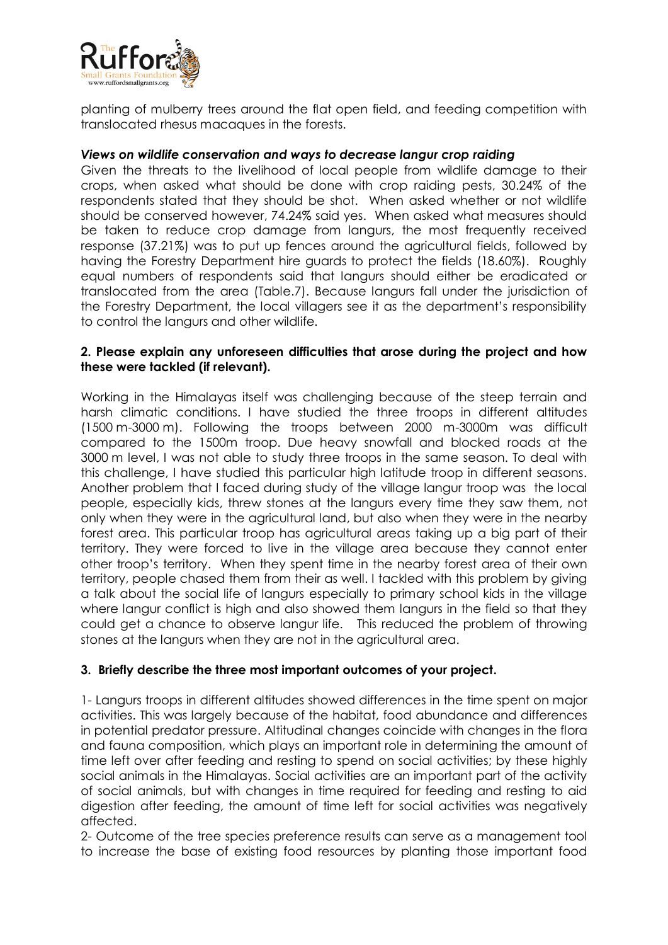

planting of mulberry trees around the flat open field, and feeding competition with translocated rhesus macaques in the forests.

## *Views on wildlife conservation and ways to decrease langur crop raiding*

Given the threats to the livelihood of local people from wildlife damage to their crops, when asked what should be done with crop raiding pests, 30.24% of the respondents stated that they should be shot. When asked whether or not wildlife should be conserved however, 74.24% said yes. When asked what measures should be taken to reduce crop damage from langurs, the most frequently received response (37.21%) was to put up fences around the agricultural fields, followed by having the Forestry Department hire guards to protect the fields (18.60%). Roughly equal numbers of respondents said that langurs should either be eradicated or translocated from the area (Table.7). Because langurs fall under the jurisdiction of the Forestry Department, the local villagers see it as the department's responsibility to control the langurs and other wildlife.

## **2. Please explain any unforeseen difficulties that arose during the project and how these were tackled (if relevant).**

Working in the Himalayas itself was challenging because of the steep terrain and harsh climatic conditions. I have studied the three troops in different altitudes (1500 m-3000 m). Following the troops between 2000 m-3000m was difficult compared to the 1500m troop. Due heavy snowfall and blocked roads at the 3000 m level, I was not able to study three troops in the same season. To deal with this challenge, I have studied this particular high latitude troop in different seasons. Another problem that I faced during study of the village langur troop was the local people, especially kids, threw stones at the langurs every time they saw them, not only when they were in the agricultural land, but also when they were in the nearby forest area. This particular troop has agricultural areas taking up a big part of their territory. They were forced to live in the village area because they cannot enter other troop's territory. When they spent time in the nearby forest area of their own territory, people chased them from their as well. I tackled with this problem by giving a talk about the social life of langurs especially to primary school kids in the village where langur conflict is high and also showed them langurs in the field so that they could get a chance to observe langur life. This reduced the problem of throwing stones at the langurs when they are not in the agricultural area.

# **3. Briefly describe the three most important outcomes of your project.**

1- Langurs troops in different altitudes showed differences in the time spent on major activities. This was largely because of the habitat, food abundance and differences in potential predator pressure. Altitudinal changes coincide with changes in the flora and fauna composition, which plays an important role in determining the amount of time left over after feeding and resting to spend on social activities; by these highly social animals in the Himalayas. Social activities are an important part of the activity of social animals, but with changes in time required for feeding and resting to aid digestion after feeding, the amount of time left for social activities was negatively affected.

2- Outcome of the tree species preference results can serve as a management tool to increase the base of existing food resources by planting those important food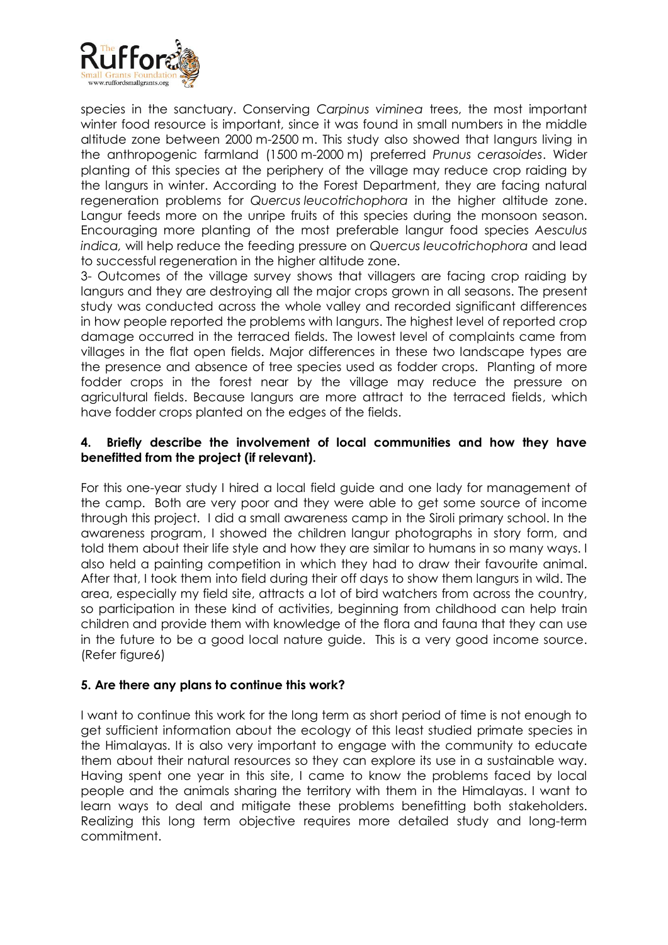

species in the sanctuary. Conserving *Carpinus viminea* trees, the most important winter food resource is important, since it was found in small numbers in the middle altitude zone between 2000 m-2500 m. This study also showed that langurs living in the anthropogenic farmland (1500 m-2000 m) preferred *Prunus cerasoides*. Wider planting of this species at the periphery of the village may reduce crop raiding by the langurs in winter. According to the Forest Department, they are facing natural regeneration problems for *Quercus leucotrichophora* in the higher altitude zone. Langur feeds more on the unripe fruits of this species during the monsoon season. Encouraging more planting of the most preferable langur food species *Aesculus indica,* will help reduce the feeding pressure on *Quercus leucotrichophora* and lead to successful regeneration in the higher altitude zone.

3- Outcomes of the village survey shows that villagers are facing crop raiding by langurs and they are destroying all the major crops grown in all seasons. The present study was conducted across the whole valley and recorded significant differences in how people reported the problems with langurs. The highest level of reported crop damage occurred in the terraced fields. The lowest level of complaints came from villages in the flat open fields. Major differences in these two landscape types are the presence and absence of tree species used as fodder crops. Planting of more fodder crops in the forest near by the village may reduce the pressure on agricultural fields. Because langurs are more attract to the terraced fields, which have fodder crops planted on the edges of the fields.

## **4. Briefly describe the involvement of local communities and how they have benefitted from the project (if relevant).**

For this one-year study I hired a local field guide and one lady for management of the camp. Both are very poor and they were able to get some source of income through this project. I did a small awareness camp in the Siroli primary school. In the awareness program, I showed the children langur photographs in story form, and told them about their life style and how they are similar to humans in so many ways. I also held a painting competition in which they had to draw their favourite animal. After that, I took them into field during their off days to show them langurs in wild. The area, especially my field site, attracts a lot of bird watchers from across the country, so participation in these kind of activities, beginning from childhood can help train children and provide them with knowledge of the flora and fauna that they can use in the future to be a good local nature guide. This is a very good income source. (Refer figure6)

# **5. Are there any plans to continue this work?**

I want to continue this work for the long term as short period of time is not enough to get sufficient information about the ecology of this least studied primate species in the Himalayas. It is also very important to engage with the community to educate them about their natural resources so they can explore its use in a sustainable way. Having spent one year in this site, I came to know the problems faced by local people and the animals sharing the territory with them in the Himalayas. I want to learn ways to deal and mitigate these problems benefitting both stakeholders. Realizing this long term objective requires more detailed study and long-term commitment.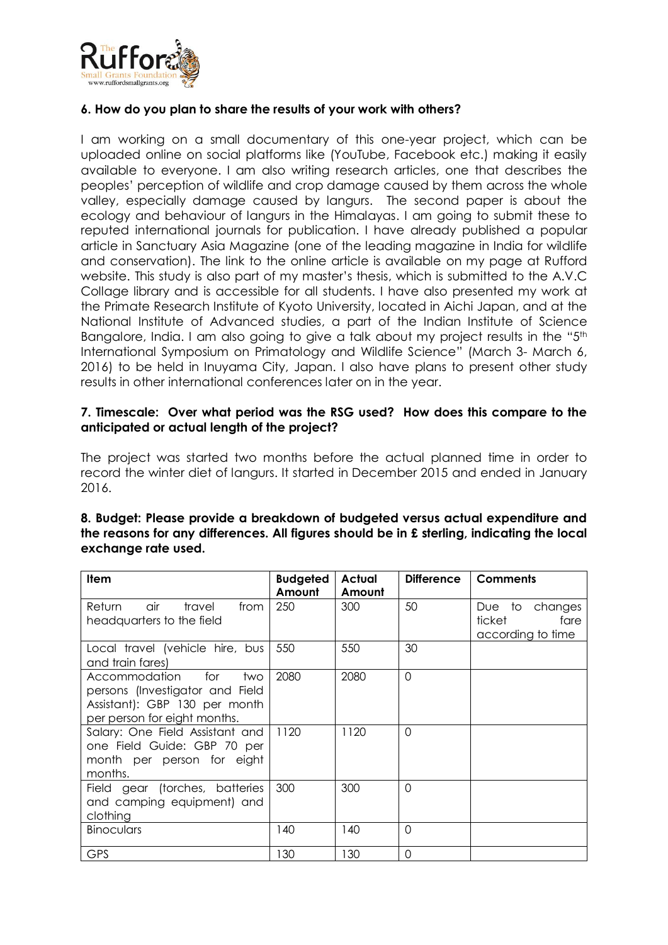

## **6. How do you plan to share the results of your work with others?**

I am working on a small documentary of this one-year project, which can be uploaded online on social platforms like (YouTube, Facebook etc.) making it easily available to everyone. I am also writing research articles, one that describes the peoples' perception of wildlife and crop damage caused by them across the whole valley, especially damage caused by langurs. The second paper is about the ecology and behaviour of langurs in the Himalayas. I am going to submit these to reputed international journals for publication. I have already published a popular article in Sanctuary Asia Magazine (one of the leading magazine in India for wildlife and conservation). The link to the online article is available on my page at Rufford website. This study is also part of my master's thesis, which is submitted to the A.V.C Collage library and is accessible for all students. I have also presented my work at the Primate Research Institute of Kyoto University, located in Aichi Japan, and at the National Institute of Advanced studies, a part of the Indian Institute of Science Bangalore, India. I am also going to give a talk about my project results in the "5<sup>th</sup> International Symposium on Primatology and Wildlife Science" (March 3- March 6, 2016) to be held in Inuyama City, Japan. I also have plans to present other study results in other international conferences later on in the year.

## **7. Timescale: Over what period was the RSG used? How does this compare to the anticipated or actual length of the project?**

The project was started two months before the actual planned time in order to record the winter diet of langurs. It started in December 2015 and ended in January 2016.

| <b>Item</b>                                                                                                                     | <b>Budgeted</b><br>Amount | Actual<br>Amount | <b>Difference</b> | <b>Comments</b>                                       |
|---------------------------------------------------------------------------------------------------------------------------------|---------------------------|------------------|-------------------|-------------------------------------------------------|
| air<br>travel<br>Return<br>from<br>headquarters to the field                                                                    | 250                       | 300              | 50                | Due to changes<br>ticket<br>fare<br>according to time |
| Local travel (vehicle hire, bus<br>and train fares)                                                                             | 550                       | 550              | 30                |                                                       |
| Accommodation<br>for<br>two<br>persons (Investigator and Field<br>Assistant): GBP 130 per month<br>per person for eight months. | 2080                      | 2080             | $\overline{0}$    |                                                       |
| Salary: One Field Assistant and<br>one Field Guide: GBP 70 per<br>month per person for eight<br>months.                         | 1120                      | 1120             | $\mathcal{O}$     |                                                       |
| Field gear (torches, batteries<br>and camping equipment) and<br>clothing                                                        | 300                       | 300              | $\mathcal{O}$     |                                                       |
| <b>Binoculars</b>                                                                                                               | 140                       | 140              | $\mathcal{O}$     |                                                       |
| <b>GPS</b>                                                                                                                      | 130                       | 130              | $\overline{0}$    |                                                       |

#### **8. Budget: Please provide a breakdown of budgeted versus actual expenditure and the reasons for any differences. All figures should be in £ sterling, indicating the local exchange rate used.**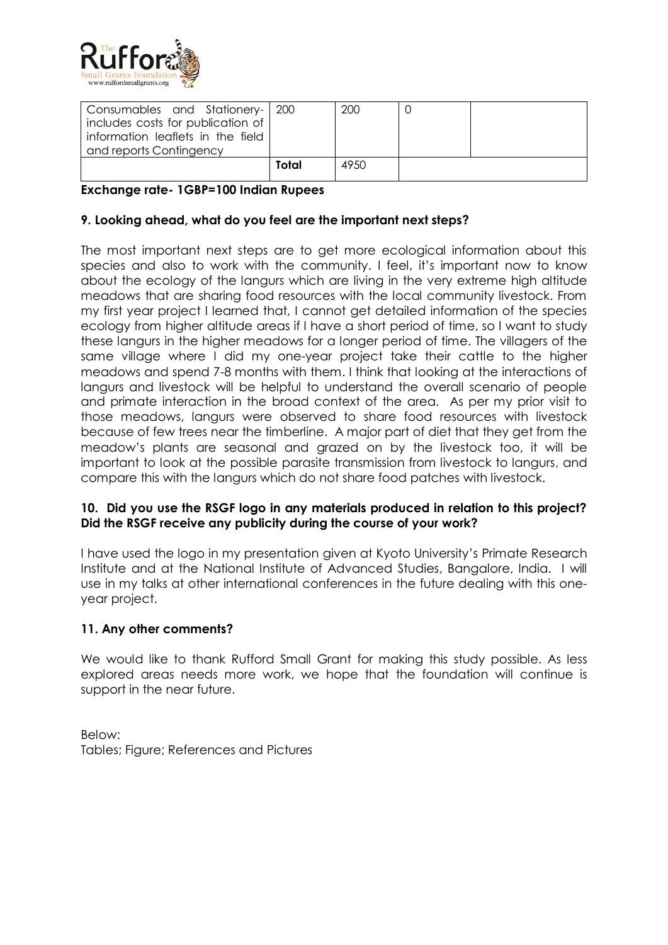

| Consumables and Stationery- 200<br>includes costs for publication of<br>information leaflets in the field |       | 200   |  |
|-----------------------------------------------------------------------------------------------------------|-------|-------|--|
| and reports Contingency                                                                                   |       |       |  |
|                                                                                                           | Total | 49.50 |  |

## **Exchange rate- 1GBP=100 Indian Rupees**

## **9. Looking ahead, what do you feel are the important next steps?**

The most important next steps are to get more ecological information about this species and also to work with the community. I feel, it's important now to know about the ecology of the langurs which are living in the very extreme high altitude meadows that are sharing food resources with the local community livestock. From my first year project I learned that, I cannot get detailed information of the species ecology from higher altitude areas if I have a short period of time, so I want to study these langurs in the higher meadows for a longer period of time. The villagers of the same village where I did my one-year project take their cattle to the higher meadows and spend 7-8 months with them. I think that looking at the interactions of langurs and livestock will be helpful to understand the overall scenario of people and primate interaction in the broad context of the area. As per my prior visit to those meadows, langurs were observed to share food resources with livestock because of few trees near the timberline. A major part of diet that they get from the meadow's plants are seasonal and grazed on by the livestock too, it will be important to look at the possible parasite transmission from livestock to langurs, and compare this with the langurs which do not share food patches with livestock.

## **10. Did you use the RSGF logo in any materials produced in relation to this project? Did the RSGF receive any publicity during the course of your work?**

I have used the logo in my presentation given at Kyoto University's Primate Research Institute and at the National Institute of Advanced Studies, Bangalore, India. I will use in my talks at other international conferences in the future dealing with this oneyear project.

#### **11. Any other comments?**

We would like to thank Rufford Small Grant for making this study possible. As less explored areas needs more work, we hope that the foundation will continue is support in the near future.

Below: Tables; Figure; References and Pictures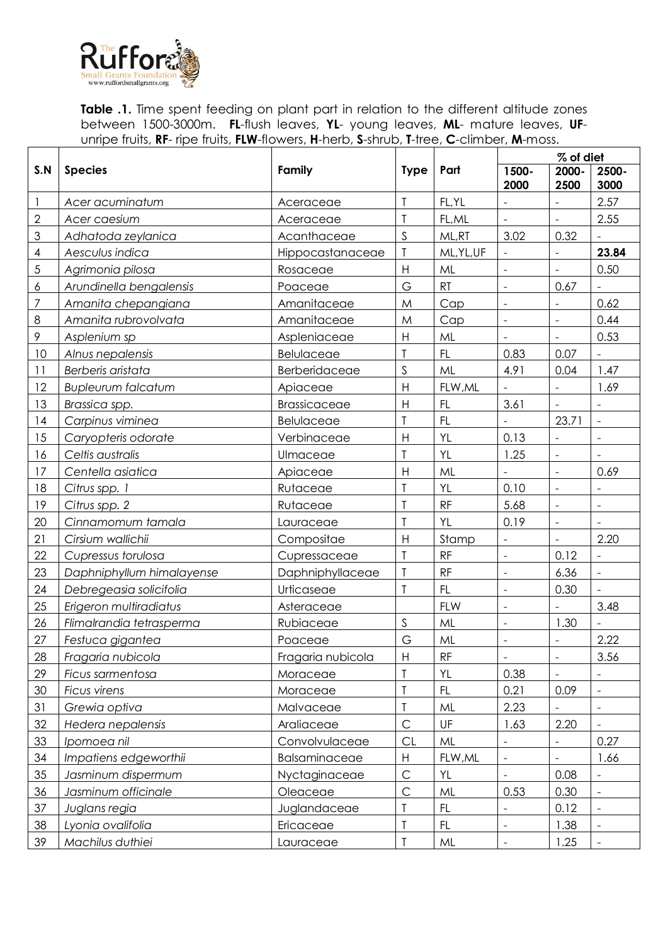

**Table .1.** Time spent feeding on plant part in relation to the different altitude zones between 1500-3000m. **FL**-flush leaves, **YL**- young leaves, **ML**- mature leaves, **UF**unripe fruits, **RF**- ripe fruits, **FLW**-flowers, **H**-herb, **S**-shrub, **T**-tree, **C**-climber, **M**-moss.

|              |                           |                                                           |                           |               | % of diet                |                   |                              |  |
|--------------|---------------------------|-----------------------------------------------------------|---------------------------|---------------|--------------------------|-------------------|------------------------------|--|
| S.N          | <b>Species</b>            | Family                                                    | <b>Type</b>               | Part          | 1500-<br>2000            | 2000-<br>2500     | 2500-<br>3000                |  |
| 1            | Acer acuminatum           | Aceraceae                                                 | T                         | FL, YL        |                          |                   | 2.57                         |  |
| $\mathbf{2}$ | Acer caesium              | Aceraceae                                                 | T                         | FL, ML        |                          | $\frac{1}{2}$     | 2.55                         |  |
| 3            | Adhatoda zeylanica        | Acanthaceae                                               | $\mathsf S$               | ML,RT         | 3.02                     | 0.32              |                              |  |
| 4            | Aesculus indica           | Hippocastanaceae                                          | T                         | ML, YL, UF    |                          |                   | 23.84                        |  |
| 5            | Agrimonia pilosa          | Rosaceae                                                  | $\overline{H}$            | ML            |                          | $\overline{a}$    | 0.50                         |  |
| 6            | Arundinella bengalensis   | Poaceae                                                   | G                         | RT            | L.                       | 0.67              |                              |  |
| 7            | Amanita chepangiana       | Amanitaceae                                               | M                         | Cap           | ÷,                       |                   | 0.62                         |  |
| $\,8\,$      | Amanita rubrovolvata      | Amanitaceae                                               | M                         | Cap           | ÷,                       | $\frac{1}{2}$     | 0.44                         |  |
| 9            | Asplenium sp              | Aspleniaceae                                              | $\boldsymbol{\mathsf{H}}$ | ML            |                          |                   | 0.53                         |  |
| 10           | Alnus nepalensis          | Belulaceae                                                | T                         | FL            | 0.83                     | 0.07              | $\qquad \qquad \blacksquare$ |  |
| 11           | Berberis aristata         | Berberidaceae                                             | $\mathsf S$               | ML            | 4.91                     | 0.04              | 1.47                         |  |
| 12           | <b>Bupleurum falcatum</b> | Apiaceae                                                  | $\overline{H}$            | FLW, ML       |                          |                   | 1.69                         |  |
| 13           | Brassica spp.             | Brassicaceae                                              | $\overline{H}$            | FL            | 3.61                     |                   |                              |  |
| 14           | Carpinus viminea          | Belulaceae                                                | T                         | FL            | ÷,                       | 23.71             | $\blacksquare$               |  |
| 15           | Caryopteris odorate       | Verbinaceae                                               | $\mathsf{H}$              | YL            | 0.13                     |                   |                              |  |
| 16           | Celtis australis          | Ulmaceae                                                  | T                         | YL            | 1.25                     | $\frac{1}{2}$     |                              |  |
| 17           | Centella asiatica         | Apiaceae                                                  | $\overline{H}$            | ML            |                          | $\overline{a}$    | 0.69                         |  |
| 18           | Citrus spp. 1             | Rutaceae                                                  | T                         | YL            | 0.10                     | $\overline{a}$    |                              |  |
| 19           | Citrus spp. 2             | Rutaceae                                                  | $\overline{1}$            | RF            | 5.68                     | $\overline{a}$    |                              |  |
| 20           | Cinnamomum tamala         | Lauraceae                                                 | T                         | YL            | 0.19                     | $\blacksquare$    |                              |  |
| 21           | Cirsium wallichii         | Compositae                                                | $\mathsf{H}$              | Stamp         |                          |                   | 2.20                         |  |
| 22           | Cupressus torulosa        | Cupressaceae                                              | $\mathsf T$               | RF            | $\frac{1}{2}$            | 0.12              |                              |  |
| 23           | Daphniphyllum himalayense | Daphniphyllaceae                                          | $\mathsf T$               | RF            | $\overline{a}$           | 6.36              | $\Box$                       |  |
| 24           | Debregeasia solicifolia   | Urticaseae                                                | $\mathsf T$               | FL            | L.                       | 0.30              |                              |  |
| 25           | Erigeron multiradiatus    | Asteraceae                                                |                           | <b>FLW</b>    | $\overline{a}$           |                   | 3.48                         |  |
| 26           | Flimalrandia tetrasperma  | Rubiaceae                                                 | $\mathsf S$               | ML            | $\frac{1}{2}$            | 1.30              |                              |  |
| 27           | Festuca gigantea          | Poaceae                                                   | G                         | ML            | $\frac{1}{2}$            |                   | 2.22                         |  |
| 28           | Fragaria nubicola         | Fragaria nubicola                                         | $\boldsymbol{\mathsf{H}}$ | $\mathsf{RF}$ | $\qquad \qquad -$        | $\qquad \qquad -$ | 3.56                         |  |
| 29           | Ficus sarmentosa          | Moraceae                                                  | T                         | YL            | 0.38                     |                   |                              |  |
| $30\,$       | Ficus virens              | Moraceae                                                  | $\mathsf T$               | FL            | 0.21                     | 0.09              | $\omega$                     |  |
| 31           | Grewia optiva             | T<br>ML<br>Malvaceae                                      |                           |               | 2.23                     |                   |                              |  |
| 32           | Hedera nepalensis         | Araliaceae                                                | $\mathsf C$               | UF            | 1.63                     | 2.20              |                              |  |
| 33           | Ipomoea nil               | Convolvulaceae                                            | <b>CL</b>                 | ML<br>0.27    |                          |                   |                              |  |
| 34           | Impatiens edgeworthii     | Balsaminaceae                                             | Н                         | FLW, ML       | $\qquad \qquad -$        | 1.66              |                              |  |
| 35           | Jasminum dispermum        | Nyctaginaceae                                             | $\mathsf C$               | YL            |                          | 0.08              |                              |  |
| 36           | Jasminum officinale       | Oleaceae                                                  | $\mathsf{C}$              | ML            | 0.53                     | 0.30              | $\Box$                       |  |
| 37           | Juglans regia             | Juglandaceae                                              | T                         | FL            |                          | 0.12              |                              |  |
| 38           | Lyonia ovalifolia         | Ericaceae                                                 | T                         | FL            | $\overline{\phantom{0}}$ | 1.38              | $\equiv$                     |  |
| 39           | Machilus duthiei          | $\mathsf{ML}$<br>1.25<br>T<br>Lauraceae<br>$\blacksquare$ |                           |               | $\equiv$                 |                   |                              |  |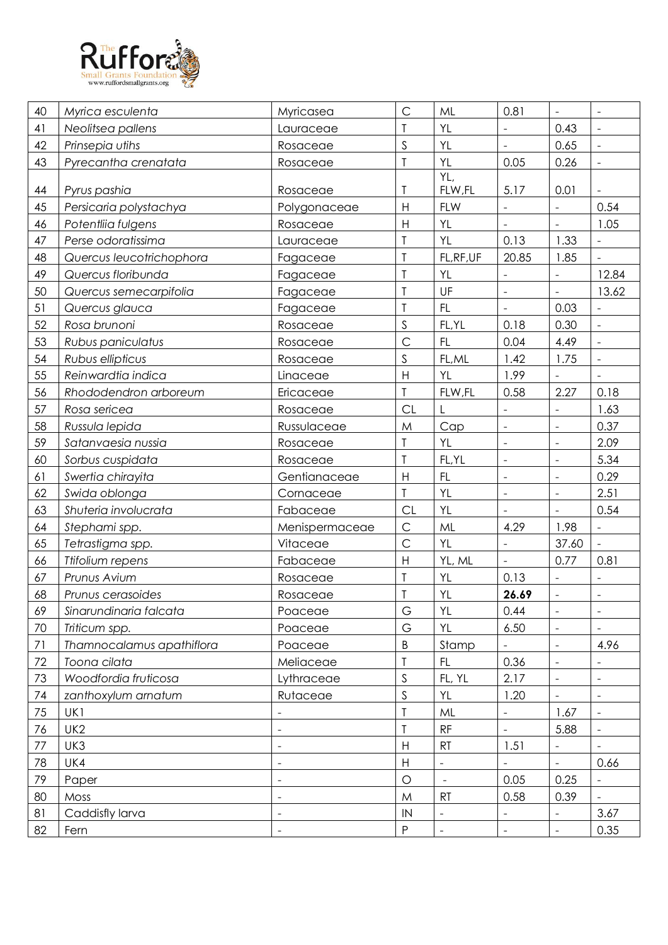

| 40 | Myrica esculenta          | Myricasea                | $\mathsf{C}$              | ML             | 0.81                     | $\equiv$                 | $\equiv$                 |
|----|---------------------------|--------------------------|---------------------------|----------------|--------------------------|--------------------------|--------------------------|
| 41 | Neolitsea pallens         | Lauraceae                | $\mathsf T$               | YL             | $\blacksquare$           | 0.43                     | $\blacksquare$           |
| 42 | Prinsepia utihs           | Rosaceae                 | $\mathsf S$               | YL             | $\overline{a}$           | 0.65                     | $\overline{\phantom{a}}$ |
| 43 | Pyrecantha crenatata      | Rosaceae                 | $\mathsf T$               | <b>YL</b>      | 0.05                     | 0.26                     | $\blacksquare$           |
| 44 | Pyrus pashia              | Rosaceae                 | Τ                         | YL,<br>FLW,FL  | 5.17                     | 0.01                     |                          |
| 45 | Persicaria polystachya    | Polygonaceae             | $\mathsf H$               | <b>FLW</b>     |                          |                          | 0.54                     |
| 46 | Potentliia fulgens        | Rosaceae                 | $\mathsf{H}%$             | YL             | $\Box$                   | $\blacksquare$           | 1.05                     |
| 47 | Perse odoratissima        | Lauraceae                | $\mathsf T$               | YL             | 0.13                     | 1.33                     | $\overline{\phantom{a}}$ |
| 48 | Quercus leucotrichophora  | Fagaceae                 | $\mathsf T$               | FL, RF, UF     | 20.85                    | 1.85                     |                          |
| 49 | Quercus floribunda        | Fagaceae                 | $\overline{1}$            | YL             |                          |                          | 12.84                    |
| 50 | Quercus semecarpifolia    | Fagaceae                 | $\mathsf T$               | UF             | $\blacksquare$           | $\blacksquare$           | 13.62                    |
| 51 | Quercus glauca            | Fagaceae                 | $\mathsf T$               | FL.            | $\overline{a}$           | 0.03                     |                          |
| 52 | Rosa brunoni              | Rosaceae                 | $\mathsf S$               | FL, YL         | 0.18                     | 0.30                     | $\equiv$                 |
| 53 | Rubus paniculatus         | Rosaceae                 | $\mathsf{C}$              | FL.            | 0.04                     | 4.49                     | $\Box$                   |
| 54 | Rubus ellipticus          | Rosaceae                 | $\mathsf S$               | FL, ML         | 1.42                     | 1.75                     | $\blacksquare$           |
| 55 | Reinwardtia indica        | Linaceae                 | $\mathsf H$               | YL             | 1.99                     |                          | $\bar{\phantom{a}}$      |
| 56 | Rhododendron arboreum     | Ericaceae                | T                         | FLW,FL         | 0.58                     | 2.27                     | 0.18                     |
| 57 | Rosa sericea              | Rosaceae                 | CL                        | L              | $\overline{\phantom{a}}$ |                          | 1.63                     |
| 58 | Russula lepida            | Russulaceae              | M                         | Cap            | $\overline{\phantom{a}}$ | $\blacksquare$           | 0.37                     |
| 59 | Satanvaesia nussia        | Rosaceae                 | $\sf T$                   | YL             | $\overline{\phantom{a}}$ | $\overline{\phantom{a}}$ | 2.09                     |
| 60 | Sorbus cuspidata          | Rosaceae                 | $\mathsf{T}$              | FL, YL         | $\Box$                   | $\overline{\phantom{a}}$ | 5.34                     |
| 61 | Swertia chirayita         | Gentianaceae             | H                         | FL             | $\blacksquare$           | $\overline{\phantom{a}}$ | 0.29                     |
| 62 | Swida oblonga             | Cornaceae                | $\mathsf T$               | YL             | $\overline{\phantom{a}}$ | $\blacksquare$           | 2.51                     |
| 63 | Shuteria involucrata      | Fabaceae                 | <b>CL</b>                 | YL             |                          |                          | 0.54                     |
| 64 | Stephami spp.             | Menispermaceae           | $\mathsf{C}$              | ML             | 4.29                     | 1.98                     | $\blacksquare$           |
| 65 | Tetrastigma spp.          | Vitaceae                 | $\mathsf{C}$              | YL             | $\blacksquare$           | 37.60                    | $\Box$                   |
| 66 | Ttifolium repens          | Fabaceae                 | $\boldsymbol{\mathsf{H}}$ | YL, ML         | $\overline{\phantom{a}}$ | 0.77                     | 0.81                     |
| 67 | Prunus Avium              | Rosaceae                 | $\sf T$                   | YL             | 0.13                     |                          |                          |
| 68 | Prunus cerasoides         | Rosaceae                 | $\mathsf T$               | YL             | 26.69                    | $\blacksquare$           | $\blacksquare$           |
| 69 | Sinarundinaria falcata    | Poaceae                  | G                         | YL             | 0.44                     | $\blacksquare$           | ÷,                       |
| 70 | Triticum spp.             | Poaceae                  | G                         | YL             | 6.50                     | $\blacksquare$           |                          |
| 71 | Thamnocalamus apathiflora | Poaceae                  | B                         | Stamp          |                          | $\blacksquare$           | 4.96                     |
| 72 | Toona cilata              | Meliaceae                | T                         | FL.            | 0.36                     | $\blacksquare$           | $\overline{\phantom{0}}$ |
| 73 | Woodfordia fruticosa      | Lythraceae               | $\mathsf S$               | FL, YL         | 2.17                     | $\overline{\phantom{a}}$ |                          |
| 74 | zanthoxylum arnatum       | Rutaceae                 | $\mathsf S$               | YL             | 1.20                     | $\blacksquare$           | $\blacksquare$           |
| 75 | UK1                       |                          | $\mathsf T$               | ML             |                          | 1.67                     | $\blacksquare$           |
| 76 | UK <sub>2</sub>           | $\blacksquare$           | T                         | <b>RF</b>      | $\Box$                   | 5.88                     | $\blacksquare$           |
| 77 | UK3                       |                          | $\boldsymbol{\mathsf{H}}$ | RT             | 1.51                     | $\blacksquare$           |                          |
| 78 | UK4                       | $\overline{\phantom{0}}$ | H                         | $\blacksquare$ |                          | $\equiv$                 | 0.66                     |
| 79 | Paper                     |                          | $\circ$                   | $\blacksquare$ | 0.05                     | 0.25                     |                          |
| 80 | Moss                      | $\overline{\phantom{a}}$ | M                         | RT             | 0.58                     | 0.39                     |                          |
| 81 | Caddisfly larva           | $\blacksquare$           | IN                        | $\overline{a}$ | $\blacksquare$           |                          | 3.67                     |
| 82 | Fern                      | $\overline{\phantom{a}}$ | $\mathsf{P}$              | $\blacksquare$ | $\blacksquare$           | $\blacksquare$           | 0.35                     |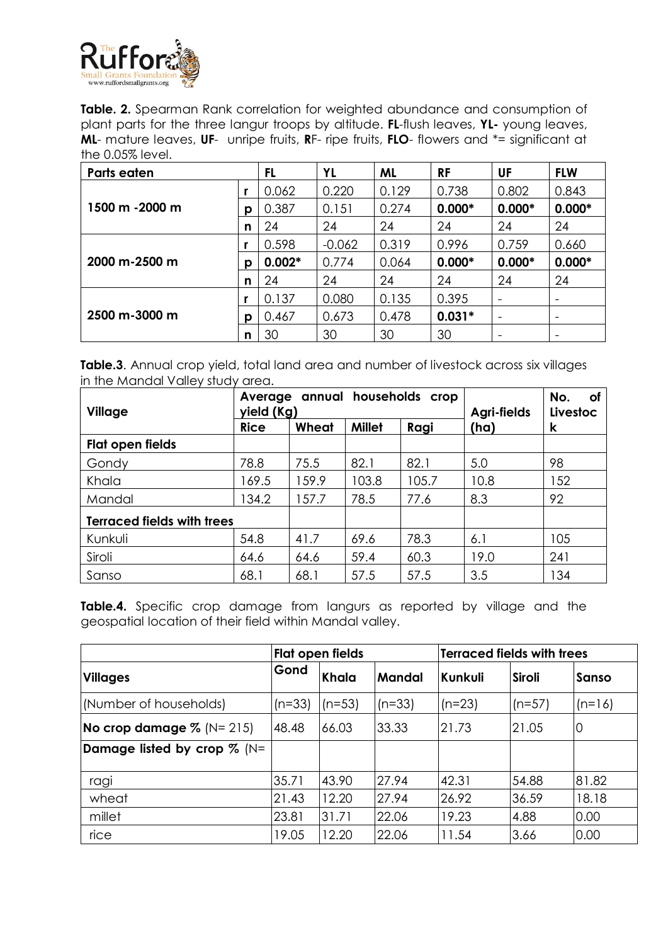

**Table. 2.** Spearman Rank correlation for weighted abundance and consumption of plant parts for the three langur troops by altitude. **FL**-flush leaves, **YL-** young leaves, **ML**- mature leaves, **UF**- unripe fruits, **R**F- ripe fruits, **FLO**- flowers and \*= significant at the 0.05% level.

| <b>Parts eaten</b> |   | FL       | YL       | <b>ML</b> | <b>RF</b> | UF       | <b>FLW</b>               |
|--------------------|---|----------|----------|-----------|-----------|----------|--------------------------|
|                    |   | 0.062    | 0.220    | 0.129     | 0.738     | 0.802    | 0.843                    |
| 1500 m -2000 m     | p | 0.387    | 0.151    | 0.274     | $0.000*$  | $0.000*$ | $0.000*$                 |
|                    | n | 24       | 24       | 24        | 24        | 24       | 24                       |
|                    |   | 0.598    | $-0.062$ | 0.319     | 0.996     | 0.759    | 0.660                    |
| $2000 m - 2500 m$  | p | $0.002*$ | 0.774    | 0.064     | $0.000*$  | $0.000*$ | $0.000*$                 |
|                    | n | 24       | 24       | 24        | 24        | 24       | 24                       |
|                    |   | 0.137    | 0.080    | 0.135     | 0.395     |          |                          |
| 2500 m-3000 m      | p | 0.467    | 0.673    | 0.478     | $0.031*$  |          | $\overline{\phantom{a}}$ |
|                    | n | 30       | 30       | 30        | 30        |          | $\overline{\phantom{a}}$ |

**Table.3**. Annual crop yield, total land area and number of livestock across six villages in the Mandal Valley study area.

| Village                           | yield (Kg)  | Average annual households crop | No.<br>of<br>Agri-fields<br>Livestoc |       |      |     |
|-----------------------------------|-------------|--------------------------------|--------------------------------------|-------|------|-----|
|                                   | <b>Rice</b> | Wheat                          | <b>Millet</b>                        | Ragi  | (ha) | k   |
| Flat open fields                  |             |                                |                                      |       |      |     |
| Gondy                             | 78.8        | 75.5                           | 82.1                                 | 82.1  | 5.0  | 98  |
| Khala                             | 169.5       | 159.9                          | 103.8                                | 105.7 | 10.8 | 152 |
| Mandal                            | 134.2       | 157.7                          | 78.5                                 | 77.6  | 8.3  | 92  |
| <b>Terraced fields with trees</b> |             |                                |                                      |       |      |     |
| Kunkuli                           | 54.8        | 41.7                           | 69.6                                 | 78.3  | 6.1  | 105 |
| Siroli                            | 64.6        | 64.6                           | 59.4                                 | 60.3  | 19.0 | 241 |
| Sanso                             | 68.1        | 68.1                           | 57.5                                 | 57.5  | 3.5  | 134 |

**Table.4.** Specific crop damage from langurs as reported by village and the geospatial location of their field within Mandal valley.

|                                     | Terraced fields with trees<br>Flat open fields |          |               |                |               |              |
|-------------------------------------|------------------------------------------------|----------|---------------|----------------|---------------|--------------|
| <b>Villages</b>                     | Gond                                           | Khala    | <b>Mandal</b> | <b>Kunkuli</b> | <b>Siroli</b> | <b>Sanso</b> |
| (Number of households)              | $(n=33)$                                       | $(n=53)$ | $(n=33)$      | $(n=23)$       | $(n=57)$      | $(n=16)$     |
| <b>No crop damage</b> $\%$ (N= 215) | 48.48                                          | 66.03    | 33.33         | 21.73          | 21.05         | 0            |
| Damage listed by crop $\%$ (N=      |                                                |          |               |                |               |              |
| ragi                                | 35.71                                          | 43.90    | 27.94         | 42.31          | 54.88         | 81.82        |
| wheat                               | 21.43                                          | 12.20    | 27.94         | 26.92          | 36.59         | 18.18        |
| millet                              | 23.81                                          | 31.71    | 22.06         | 19.23          | 4.88          | 0.00         |
| rice                                | 19.05                                          | 12.20    | 22.06         | 11.54          | 3.66          | 0.00         |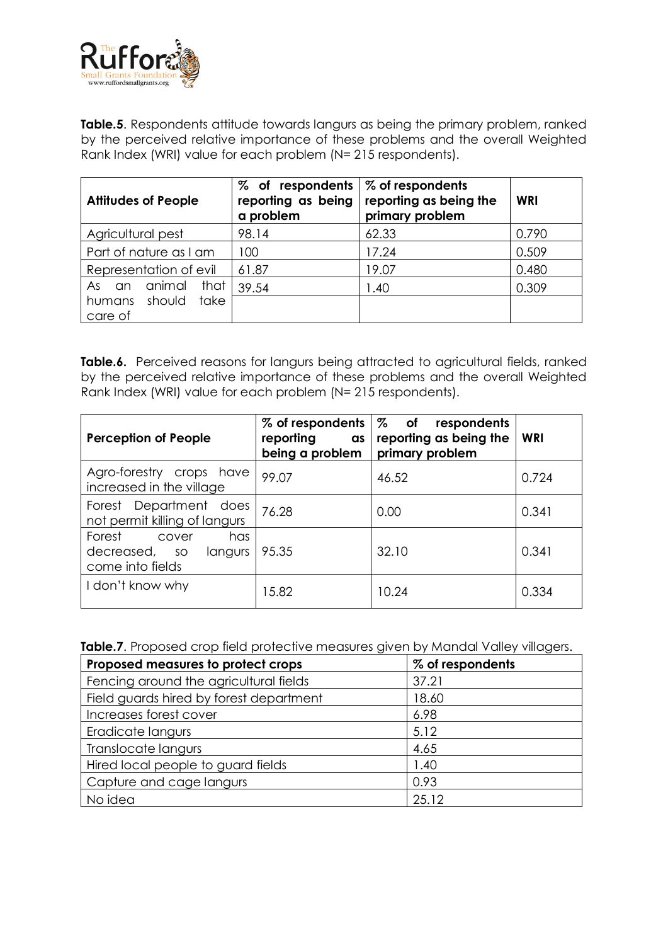

**Table.5**. Respondents attitude towards langurs as being the primary problem, ranked by the perceived relative importance of these problems and the overall Weighted Rank Index (WRI) value for each problem (N= 215 respondents).

| <b>Attitudes of People</b>                                             | $\%$ of respondents $\%$ of respondents<br>reporting as being<br>a problem | reporting as being the<br>primary problem | WRI   |
|------------------------------------------------------------------------|----------------------------------------------------------------------------|-------------------------------------------|-------|
| Agricultural pest                                                      | 98.14                                                                      | 62.33                                     | 0.790 |
| Part of nature as I am                                                 | 100                                                                        | 17.24                                     | 0.509 |
| Representation of evil                                                 | 61.87                                                                      | 19.07                                     | 0.480 |
| animal<br>that<br>As:<br><b>an</b><br>humans should<br>take<br>care of | 39.54                                                                      | 1.40                                      | 0.309 |

Table.6. Perceived reasons for langurs being attracted to agricultural fields, ranked by the perceived relative importance of these problems and the overall Weighted Rank Index (WRI) value for each problem (N= 215 respondents).

| <b>Perception of People</b>                                         | % of respondents<br>reporting<br><b>as</b><br>being a problem | % of<br>respondents<br>reporting as being the<br>primary problem | <b>WRI</b> |
|---------------------------------------------------------------------|---------------------------------------------------------------|------------------------------------------------------------------|------------|
| Agro-forestry crops have<br>increased in the village                | 99.07                                                         | 46.52                                                            | 0.724      |
| Forest Department does<br>not permit killing of langurs             | 76.28                                                         | 0.00                                                             | 0.341      |
| Forest<br>has<br>cover<br>decreased, so langurs<br>come into fields | 95.35                                                         | 32.10                                                            | 0.341      |
| I don't know why                                                    | 15.82                                                         | 10.24                                                            | 0.334      |

| Table.7. Proposed crop field protective measures given by Mandal Valley villagers. |
|------------------------------------------------------------------------------------|
|------------------------------------------------------------------------------------|

| Proposed measures to protect crops      | % of respondents |
|-----------------------------------------|------------------|
| Fencing around the agricultural fields  | 37.21            |
| Field guards hired by forest department | 18.60            |
| Increases forest cover                  | 6.98             |
| Eradicate langurs                       | 5.12             |
| Translocate langurs                     | 4.65             |
| Hired local people to guard fields      | 1.40             |
| Capture and cage langurs                | 0.93             |
| No idea                                 | 25.12            |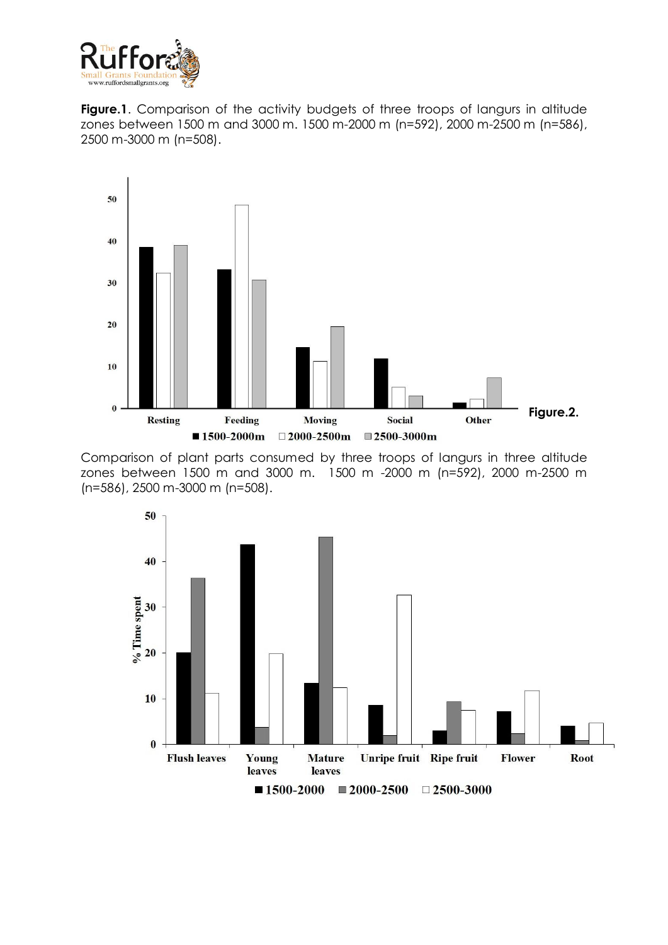

**Figure.1.** Comparison of the activity budgets of three troops of langurs in altitude zones between 1500 m and 3000 m. 1500 m-2000 m (n=592), 2000 m-2500 m (n=586), 2500 m-3000 m (n=508).





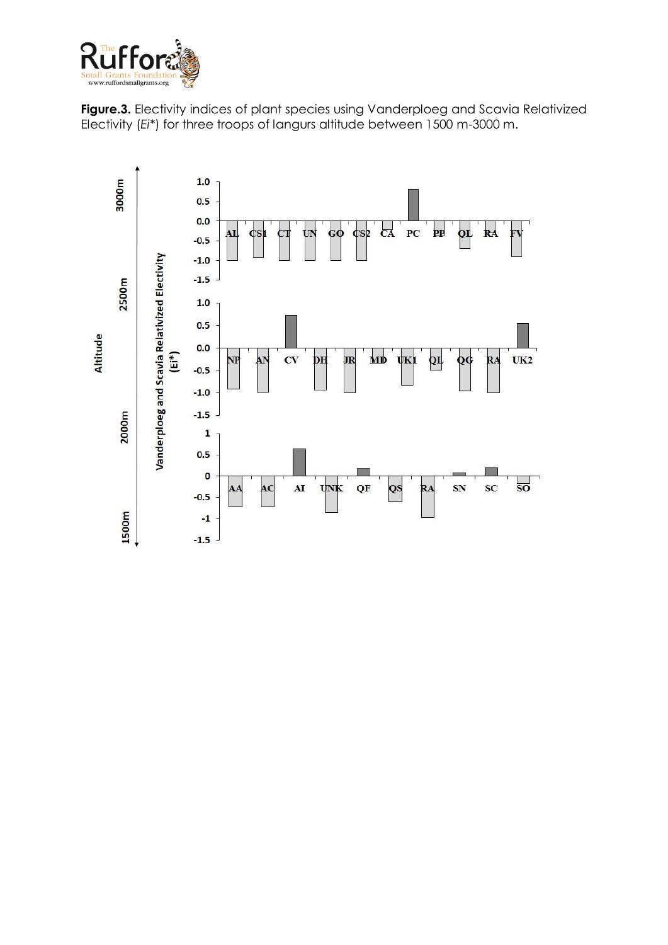



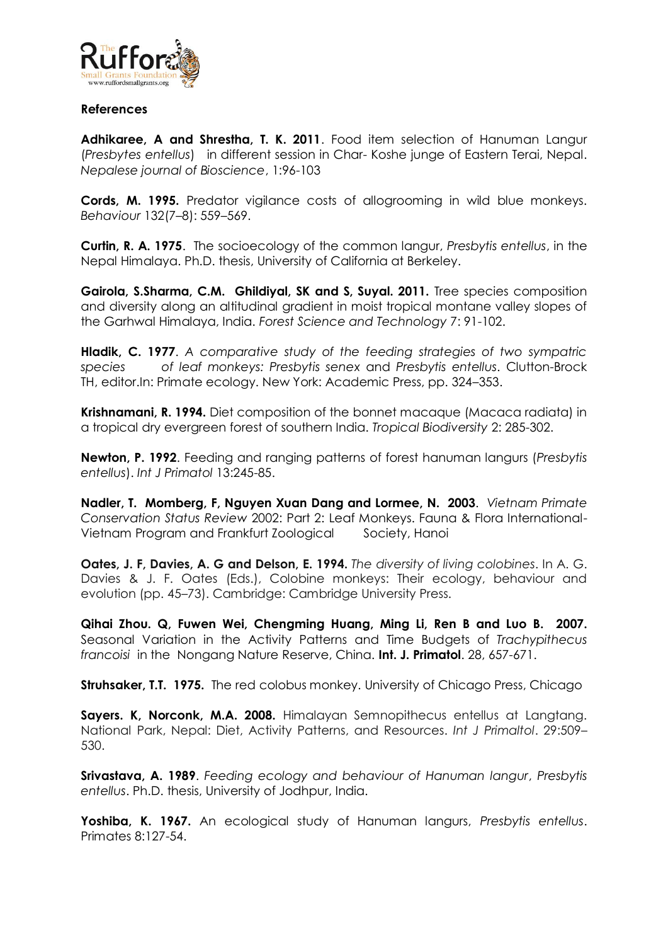

## **References**

**Adhikaree, A and Shrestha, T. K. 2011**. Food item selection of Hanuman Langur (*Presbytes entellus*) in different session in Char- Koshe junge of Eastern Terai, Nepal. *Nepalese journal of Bioscience*, 1:96-103

**Cords, M. 1995.** Predator vigilance costs of allogrooming in wild blue monkeys. *Behaviour* 132(7–8): 559–569.

**Curtin, R. A. 1975**. The socioecology of the common langur, *Presbytis entellus*, in the Nepal Himalaya. Ph.D. thesis, University of California at Berkeley.

**Gairola, S.Sharma, C.M. Ghildiyal, SK and S, Suyal. 2011.** Tree species composition and diversity along an altitudinal gradient in moist tropical montane valley slopes of the Garhwal Himalaya, India. *Forest Science and Technology* 7: 91-102.

**Hladik, C. 1977**. *A comparative study of the feeding strategies of two sympatric species of leaf monkeys: Presbytis senex* and *Presbytis entellus*. Clutton-Brock TH, editor.In: Primate ecology. New York: Academic Press, pp. 324–353.

**Krishnamani, R. 1994.** Diet composition of the bonnet macaque (Macaca radiata) in a tropical dry evergreen forest of southern India. *Tropical Biodiversity* 2: 285-302.

**Newton, P. 1992**. Feeding and ranging patterns of forest hanuman langurs (*Presbytis entellus*). *Int J Primatol* 13:245-85.

**Nadler, T. Momberg, F, Nguyen Xuan Dang and Lormee, N. 2003**. *Vietnam Primate Conservation Status Review* 2002: Part 2: Leaf Monkeys. Fauna & Flora International-Vietnam Program and Frankfurt Zoological Society, Hanoi

**Oates, J. F, Davies, A. G and Delson, E. 1994.** *The diversity of living colobines*. In A. G. Davies & J. F. Oates (Eds.), Colobine monkeys: Their ecology, behaviour and evolution (pp. 45–73). Cambridge: Cambridge University Press.

**Qihai Zhou. Q, Fuwen Wei, Chengming Huang, Ming Li, Ren B and Luo B. 2007.**  Seasonal Variation in the Activity Patterns and Time Budgets of *Trachypithecus francoisi* in the Nongang Nature Reserve, China. **Int. J. Primatol**. 28, 657-671.

**Struhsaker, T.T. 1975.** The red colobus monkey. University of Chicago Press, Chicago

**Sayers. K, Norconk, M.A. 2008.** Himalayan Semnopithecus entellus at Langtang. National Park, Nepal: Diet, Activity Patterns, and Resources. *Int J Primaltol*. 29:509– 530.

**Srivastava, A. 1989**. *Feeding ecology and behaviour of Hanuman langur*, *Presbytis entellus*. Ph.D. thesis, University of Jodhpur, India.

**Yoshiba, K. 1967.** An ecological study of Hanuman langurs, *Presbytis entellus*. Primates 8:127-54.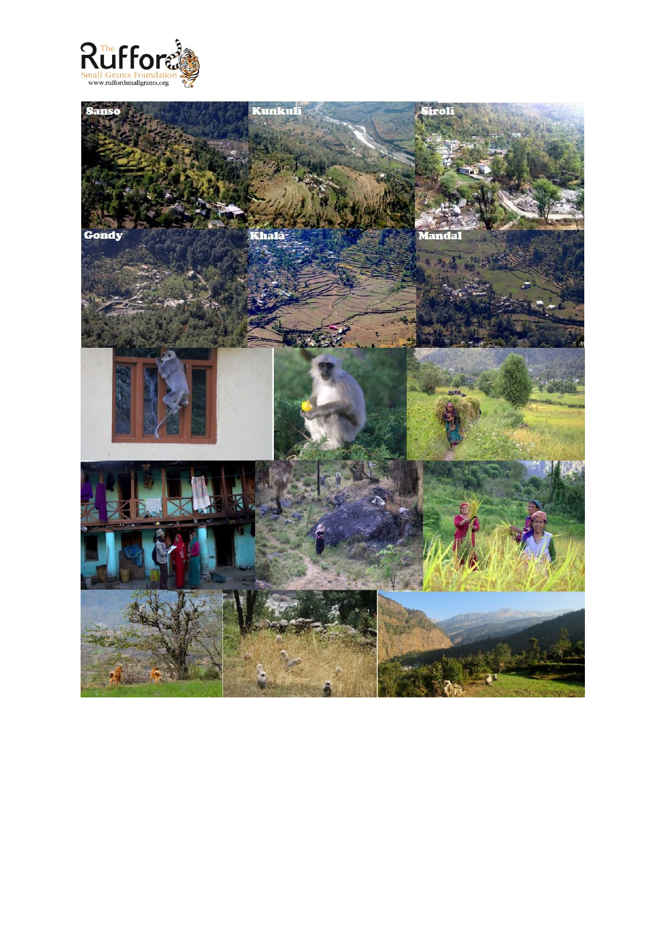